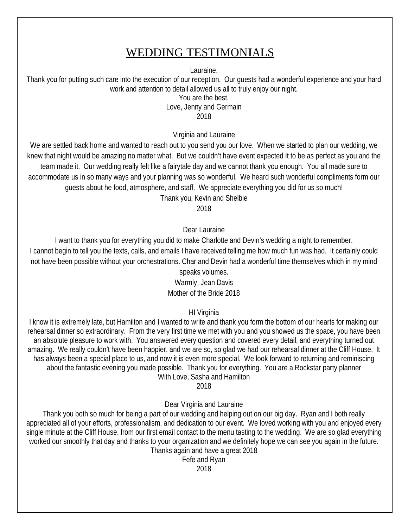### WEDDING TESTIMONIALS

Lauraine,

Thank you for putting such care into the execution of our reception. Our guests had a wonderful experience and your hard work and attention to detail allowed us all to truly enjoy our night.

You are the best.

Love, Jenny and Germain

2018

Virginia and Lauraine

We are settled back home and wanted to reach out to you send you our love. When we started to plan our wedding, we knew that night would be amazing no matter what. But we couldn't have event expected It to be as perfect as you and the team made it. Our wedding really felt like a fairytale day and we cannot thank you enough. You all made sure to accommodate us in so many ways and your planning was so wonderful. We heard such wonderful compliments form our guests about he food, atmosphere, and staff. We appreciate everything you did for us so much! Thank you, Kevin and Shelbie

2018

Dear Lauraine

I want to thank you for everything you did to make Charlotte and Devin's wedding a night to remember. I cannot begin to tell you the texts, calls, and emails I have received telling me how much fun was had. It certainly could not have been possible without your orchestrations. Char and Devin had a wonderful time themselves which in my mind speaks volumes.

Warmly, Jean Davis Mother of the Bride 2018

HI Virginia

I know it is extremely late, but Hamilton and I wanted to write and thank you form the bottom of our hearts for making our rehearsal dinner so extraordinary. From the very first time we met with you and you showed us the space, you have been an absolute pleasure to work with. You answered every question and covered every detail, and everything turned out amazing. We really couldn't have been happier, and we are so, so glad we had our rehearsal dinner at the Cliff House. It has always been a special place to us, and now it is even more special. We look forward to returning and reminiscing about the fantastic evening you made possible. Thank you for everything. You are a Rockstar party planner With Love, Sasha and Hamilton

2018

Dear Virginia and Lauraine

Thank you both so much for being a part of our wedding and helping out on our big day. Ryan and I both really appreciated all of your efforts, professionalism, and dedication to our event. We loved working with you and enjoyed every single minute at the Cliff House, from our first email contact to the menu tasting to the wedding. We are so glad everything worked our smoothly that day and thanks to your organization and we definitely hope we can see you again in the future. Thanks again and have a great 2018

Fefe and Ryan

2018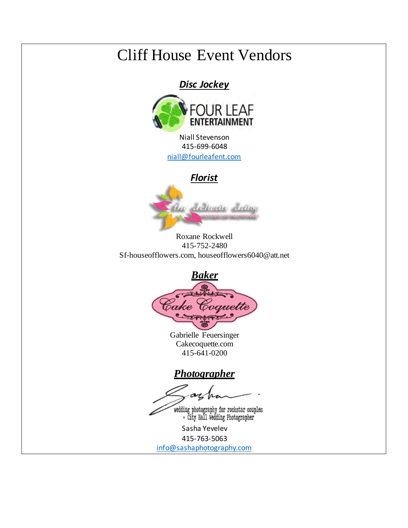## Cliff House Event Vendors

*Disc Jockey* 



Niall Stevenson 415-699-6048 niall@fourleafent.com

*Florist* 



Roxane Rockwell 415-752-2480 Sf-houseofflowers.com, houseofflowers6040@att.net



Gabrielle Feuersinger Cakecoquette.com 415-641-0200

*Photographer* 

wedding photography for rockstar couples<br>+ City Hall Wedding Photographer

Sasha Yevelev 415-763-5063

info@sashaphotography.com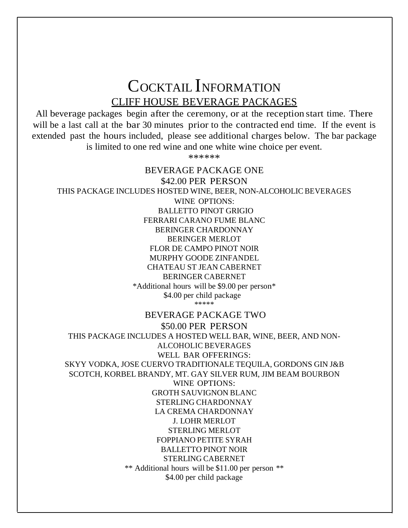COCKTAIL INFORMATION CLIFF HOUSE BEVERAGE PACKAGES

All beverage packages begin after the ceremony, or at the reception start time. There will be a last call at the bar 30 minutes prior to the contracted end time. If the event is extended past the hours included, please see additional charges below. The bar package is limited to one red wine and one white wine choice per event.

\*\*\*\*\*\*

BEVERAGE PACKAGE ONE \$42.00 PER PERSON THIS PACKAGE INCLUDES HOSTED WINE, BEER, NON-ALCOHOLIC BEVERAGES WINE OPTIONS: BALLETTO PINOT GRIGIO FERRARI CARANO FUME BLANC BERINGER CHARDONNAY BERINGER MERLOT FLOR DE CAMPO PINOT NOIR MURPHY GOODE ZINFANDEL CHATEAU ST JEAN CABERNET BERINGER CABERNET \*Additional hours will be \$9.00 per person\* \$4.00 per child package \*\*\*\*\* BEVERAGE PACKAGE TWO \$50.00 PER PERSON THIS PACKAGE INCLUDES A HOSTED WELL BAR, WINE, BEER, AND NON-ALCOHOLIC BEVERAGES WELL BAR OFFERINGS: SKYY VODKA, JOSE CUERVO TRADITIONALE TEQUILA, GORDONS GIN J&B SCOTCH, KORBEL BRANDY, MT. GAY SILVER RUM, JIM BEAM BOURBON WINE OPTIONS: GROTH SAUVIGNON BLANC STERLING CHARDONNAY LA CREMA CHARDONNAY J. LOHR MERLOT STERLING MERLOT FOPPIANO PETITE SYRAH BALLETTO PINOT NOIR STERLING CABERNET \*\* Additional hours will be \$11.00 per person \*\* \$4.00 per child package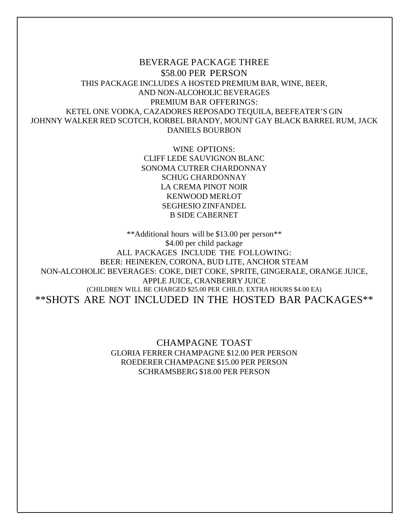BEVERAGE PACKAGE THREE \$58.00 PER PERSON THIS PACKAGE INCLUDES A HOSTED PREMIUM BAR, WINE, BEER, AND NON-ALCOHOLIC BEVERAGES PREMIUM BAR OFFERINGS: KETEL ONE VODKA, CAZADORES REPOSADO TEQUILA, BEEFEATER'S GIN JOHNNY WALKER RED SCOTCH, KORBEL BRANDY, MOUNT GAY BLACK BARREL RUM, JACK DANIELS BOURBON

> WINE OPTIONS: CLIFF LEDE SAUVIGNON BLANC SONOMA CUTRER CHARDONNAY SCHUG CHARDONNAY LA CREMA PINOT NOIR KENWOOD MERLOT SEGHESIO ZINFANDEL B SIDE CABERNET

\*\*Additional hours will be \$13.00 per person\*\* \$4.00 per child package ALL PACKAGES INCLUDE THE FOLLOWING: BEER: HEINEKEN, CORONA, BUD LITE, ANCHOR STEAM NON-ALCOHOLIC BEVERAGES: COKE, DIET COKE, SPRITE, GINGERALE, ORANGE JUICE, APPLE JUICE, CRANBERRY JUICE (CHILDREN WILL BE CHARGED \$25.00 PER CHILD, EXTRA HOURS \$4.00 EA) \*\*SHOTS ARE NOT INCLUDED IN THE HOSTED BAR PACKAGES\*\*

> CHAMPAGNE TOAST GLORIA FERRER CHAMPAGNE \$12.00 PER PERSON ROEDERER CHAMPAGNE \$15.00 PER PERSON SCHRAMSBERG \$18.00 PER PERSON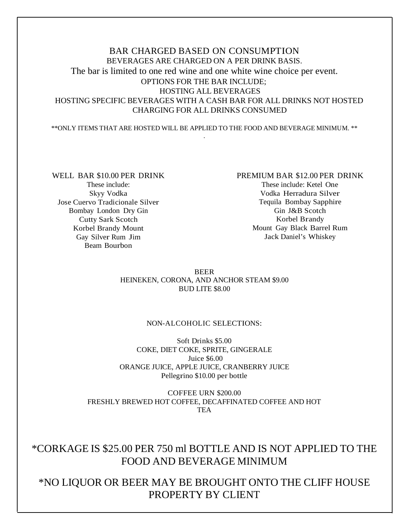#### BAR CHARGED BASED ON CONSUMPTION BEVERAGES ARE CHARGED ON A PER DRINK BASIS. The bar is limited to one red wine and one white wine choice per event. OPTIONS FOR THE BAR INCLUDE; HOSTING ALL BEVERAGES HOSTING SPECIFIC BEVERAGES WITH A CASH BAR FOR ALL DRINKS NOT HOSTED CHARGING FOR ALL DRINKS CONSUMED

\*\*ONLY ITEMS THAT ARE HOSTED WILL BE APPLIED TO THE FOOD AND BEVERAGE MINIMUM. \*\* .

WELL BAR \$10.00 PER DRINK These include: Skyy Vodka Jose Cuervo Tradicionale Silver Bombay London Dry Gin Cutty Sark Scotch Korbel Brandy Mount Gay Silver Rum Jim Beam Bourbon

#### PREMIUM BAR \$12.00 PER DRINK

These include: Ketel One Vodka Herradura Silver Tequila Bombay Sapphire Gin J&B Scotch Korbel Brandy Mount Gay Black Barrel Rum Jack Daniel's Whiskey

BEER HEINEKEN, CORONA, AND ANCHOR STEAM \$9.00 BUD LITE \$8.00

#### NON-ALCOHOLIC SELECTIONS:

Soft Drinks \$5.00 COKE, DIET COKE, SPRITE, GINGERALE Juice \$6.00 ORANGE JUICE, APPLE JUICE, CRANBERRY JUICE Pellegrino \$10.00 per bottle

COFFEE URN \$200.00 FRESHLY BREWED HOT COFFEE, DECAFFINATED COFFEE AND HOT **TEA** 

#### \*CORKAGE IS \$25.00 PER 750 ml BOTTLE AND IS NOT APPLIED TO THE FOOD AND BEVERAGE MINIMUM

\*NO LIQUOR OR BEER MAY BE BROUGHT ONTO THE CLIFF HOUSE PROPERTY BY CLIENT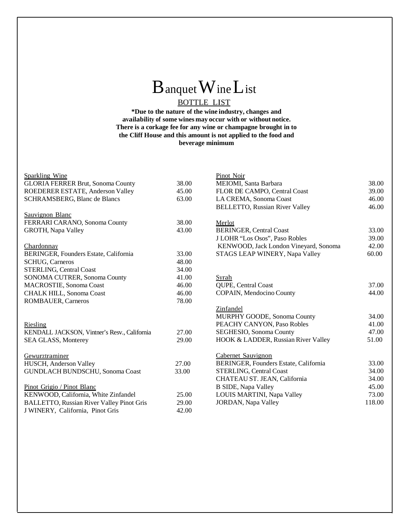# BanquetWineList

#### BOTTLE LIST

**\*Due to the nature of the wine industry, changes and availability of some wines may occur with or without notice. There is a corkage fee for any wine or champagne brought in to the Cliff House and this amount is not applied to the food and beverage minimum**

#### Sparkling Wine

| <b>GLORIA FERRER Brut, Sonoma County</b>         | 38.00 |
|--------------------------------------------------|-------|
| ROEDERER ESTATE, Anderson Valley                 | 45.00 |
| <b>SCHRAMSBERG, Blanc de Blancs</b>              | 63.00 |
|                                                  |       |
| Sauvignon Blanc                                  |       |
| FERRARI CARANO, Sonoma County                    | 38.00 |
| <b>GROTH, Napa Valley</b>                        | 43.00 |
|                                                  |       |
| <u>Chardonnay</u>                                |       |
| <b>BERINGER, Founders Estate, California</b>     | 33.00 |
| <b>SCHUG, Carneros</b>                           | 48.00 |
| <b>STERLING, Central Coast</b>                   | 34.00 |
| SONOMA CUTRER, Sonoma County                     | 41.00 |
| MACROSTIE, Sonoma Coast                          | 46.00 |
| <b>CHALK HILL, Sonoma Coast</b>                  | 46.00 |
| ROMBAUER, Carneros                               | 78.00 |
|                                                  |       |
|                                                  |       |
| Riesling                                         |       |
| KENDALL JACKSON, Vintner's Resv., California     | 27.00 |
| SEA GLASS, Monterey                              | 29.00 |
|                                                  |       |
| Gewurztraminer                                   |       |
| HUSCH, Anderson Valley                           | 27.00 |
| GUNDLACH BUNDSCHU, Sonoma Coast                  | 33.00 |
|                                                  |       |
| Pinot Grigio / Pinot Blanc                       |       |
| KENWOOD, California, White Zinfandel             | 25.00 |
| <b>BALLETTO, Russian River Valley Pinot Gris</b> | 29.00 |

J WINERY, California, Pinot Gris 42.00

| Pinot Noir                            |        |
|---------------------------------------|--------|
| MEIOMI, Santa Barbara                 | 38.00  |
| FLOR DE CAMPO, Central Coast          | 39.00  |
| LA CREMA, Sonoma Coast                | 46.00  |
| <b>BELLETTO, Russian River Valley</b> | 46.00  |
|                                       |        |
| Merlot                                |        |
| <b>BERINGER, Central Coast</b>        | 33.00  |
| J LOHR "Los Osos", Paso Robles        | 39.00  |
| KENWOOD, Jack London Vineyard, Sonoma | 42.00  |
| STAGS LEAP WINERY, Napa Valley        | 60.00  |
|                                       |        |
|                                       |        |
| Syrah                                 |        |
| QUPE, Central Coast                   | 37.00  |
| COPAIN, Mendocino County              | 44.00  |
|                                       |        |
| Zinfandel                             |        |
| MURPHY GOODE, Sonoma County           | 34.00  |
| PEACHY CANYON, Paso Robles            | 41.00  |
| SEGHESIO, Sonoma County               | 47.00  |
| HOOK & LADDER, Russian River Valley   | 51.00  |
|                                       |        |
| Cabernet Sauvignon                    |        |
| BERINGER, Founders Estate, California | 33.00  |
| <b>STERLING, Central Coast</b>        | 34.00  |
| CHATEAU ST. JEAN, California          | 34.00  |
| <b>B SIDE, Napa Valley</b>            | 45.00  |
| LOUIS MARTINI, Napa Valley            | 73.00  |
| <b>JORDAN</b> , Napa Valley           | 118.00 |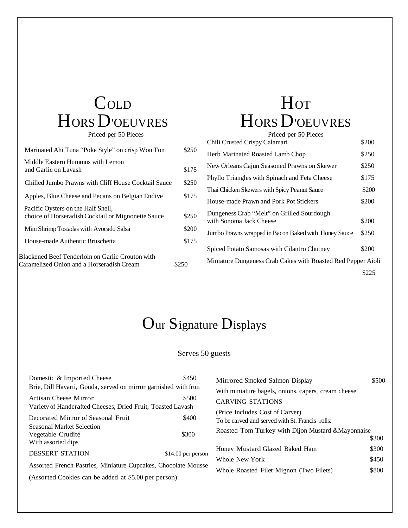# COLD HORS D'OEUVRES

Priced per 50 Pieces

| Marinated Ahi Tuna "Poke Style" on crisp Won Ton                                              | \$250 |
|-----------------------------------------------------------------------------------------------|-------|
| Middle Eastern Hummus with Lemon<br>and Garlic on Lavash                                      | \$175 |
| Chilled Jumbo Prawns with Cliff House Cocktail Sauce                                          | \$250 |
| Apples, Blue Cheese and Pecans on Belgian Endive                                              | \$175 |
| Pacific Oysters on the Half Shell,<br>choice of Horseradish Cocktail or Mignonette Sauce      | \$250 |
| Mini Shrimp Tostadas with Avocado Salsa                                                       | \$200 |
| House-made Authentic Bruschetta                                                               | \$175 |
| Blackened Beef Tenderloin on Garlic Crouton with<br>Caramelized Onion and a Horseradish Cream | \$250 |

# **Hor** HORS D'OEUVRES

| Priced per 50 Pieces                                                  |       |
|-----------------------------------------------------------------------|-------|
| Chili Crusted Crispy Calamari                                         | \$200 |
| Herb Marinated Roasted Lamb Chop                                      | \$250 |
| New Orleans Cajun Seasoned Prawns on Skewer                           | \$250 |
| Phyllo Triangles with Spinach and Feta Cheese                         | \$175 |
| Thai Chicken Skewers with Spicy Peanut Sauce                          | \$200 |
| House-made Prawn and Pork Pot Stickers                                | \$200 |
| Dungeness Crab "Melt" on Grilled Sourdough<br>with Sonoma Jack Cheese | \$200 |
| Jumbo Prawns wrapped in Bacon Baked with Honey Sauce                  | \$250 |
| Spiced Potato Samosas with Cilantro Chutney                           | \$200 |
| Miniature Dungeness Crab Cakes with Roasted Red Pepper Aioli          |       |
|                                                                       | \$225 |

### Our Signature Displays

#### Serves 50 guests

| Domestic & Imported Cheese                                       | \$450               | Mirrored Smoked Salmon Display                      | \$500 |
|------------------------------------------------------------------|---------------------|-----------------------------------------------------|-------|
| Brie, Dill Havarti, Gouda, served on mirror garnished with fruit |                     | With miniature bagels, onions, capers, cream cheese |       |
| Artisan Cheese Mirror                                            | \$500               | <b>CARVING STATIONS</b>                             |       |
| Variety of Handcrafted Cheeses, Dried Fruit, Toasted Lavash      |                     |                                                     |       |
|                                                                  |                     | (Price Includes Cost of Carver)                     |       |
| Decorated Mirror of Seasonal Fruit                               | \$400               | To be carved and served with St. Francis rolls:     |       |
| <b>Seasonal Market Selection</b>                                 |                     | Roasted Tom Turkey with Dijon Mustard & Mayonnaise  |       |
| Vegetable Crudité                                                | \$300               |                                                     |       |
| With assorted dips                                               |                     |                                                     | \$300 |
| <b>DESSERT STATION</b>                                           | $$14.00$ per person | Honey Mustard Glazed Baked Ham                      | \$300 |
|                                                                  |                     | Whole New York                                      | \$450 |
| Assorted French Pastries, Miniature Cupcakes, Chocolate Mousse   |                     |                                                     |       |
| (Assorted Cookies can be added at \$5.00 per person)             |                     | Whole Roasted Filet Mignon (Two Filets)             | \$800 |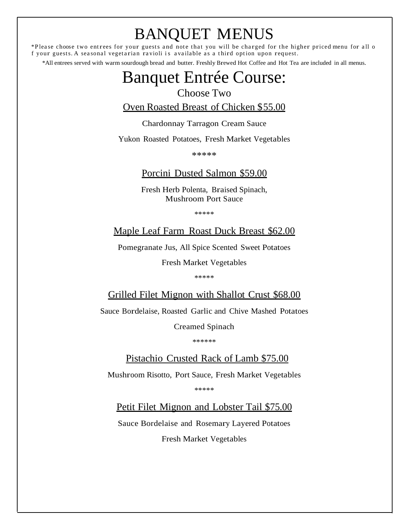# BANQUET MENUS

\*Please choose two entrees for your guests and note that you will be charged for the higher priced menu for all o f your guests. A seasonal vegetarian ravioli is available as a third option upon request.

\*All entrees served with warm sourdough bread and butter. Freshly Brewed Hot Coffee and Hot Tea are included in all menus.

### Banquet Entrée Course:

#### Choose Two

Oven Roasted Breast of Chicken \$55.00

Chardonnay Tarragon Cream Sauce

Yukon Roasted Potatoes, Fresh Market Vegetables

\*\*\*\*\*

#### Porcini Dusted Salmon \$59.00

Fresh Herb Polenta, Braised Spinach, Mushroom Port Sauce

\*\*\*\*\*

Maple Leaf Farm Roast Duck Breast \$62.00

Pomegranate Jus, All Spice Scented Sweet Potatoes

Fresh Market Vegetables

\*\*\*\*\*

Grilled Filet Mignon with Shallot Crust \$68.00

Sauce Bordelaise, Roasted Garlic and Chive Mashed Potatoes

Creamed Spinach

\*\*\*\*\*\*

Pistachio Crusted Rack of Lamb \$75.00

Mushroom Risotto, Port Sauce, Fresh Market Vegetables

\*\*\*\*\*

Petit Filet Mignon and Lobster Tail \$75.00

Sauce Bordelaise and Rosemary Layered Potatoes Fresh Market Vegetables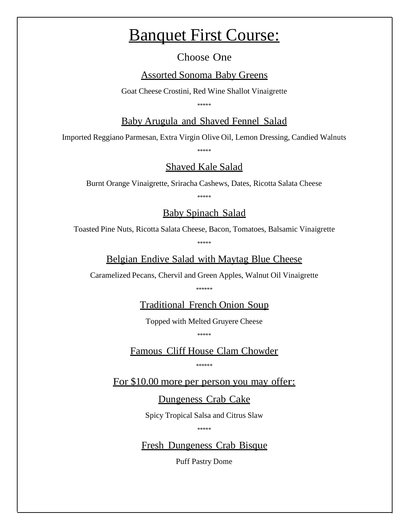### Banquet First Course:

Choose One

Assorted Sonoma Baby Greens

Goat Cheese Crostini, Red Wine Shallot Vinaigrette

\*\*\*\*\*

Baby Arugula and Shaved Fennel Salad

Imported Reggiano Parmesan, Extra Virgin Olive Oil, Lemon Dressing, Candied Walnuts

\*\*\*\*\*

#### Shaved Kale Salad

Burnt Orange Vinaigrette, Sriracha Cashews, Dates, Ricotta Salata Cheese

\*\*\*\*\*

#### Baby Spinach Salad

Toasted Pine Nuts, Ricotta Salata Cheese, Bacon, Tomatoes, Balsamic Vinaigrette

\*\*\*\*\*

Belgian Endive Salad with Maytag Blue Cheese

Caramelized Pecans, Chervil and Green Apples, Walnut Oil Vinaigrette

\*\*\*\*\*\*

Traditional French Onion Soup

Topped with Melted Gruyere Cheese

\*\*\*\*\*

Famous Cliff House Clam Chowder

\*\*\*\*\*\*

For \$10.00 more per person you may offer:

Dungeness Crab Cake

Spicy Tropical Salsa and Citrus Slaw

\*\*\*\*\*

Fresh Dungeness Crab Bisque

Puff Pastry Dome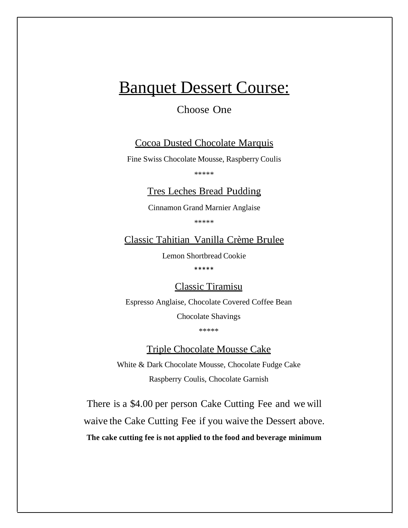### Banquet Dessert Course:

#### Choose One

#### Cocoa Dusted Chocolate Marquis

Fine Swiss Chocolate Mousse, Raspberry Coulis

\*\*\*\*\*

#### Tres Leches Bread Pudding

Cinnamon Grand Marnier Anglaise

\*\*\*\*\*

Classic Tahitian Vanilla Crème Brulee

Lemon Shortbread Cookie

\*\*\*\*\*

Classic Tiramisu

Espresso Anglaise, Chocolate Covered Coffee Bean Chocolate Shavings

\*\*\*\*\*

Triple Chocolate Mousse Cake

White & Dark Chocolate Mousse, Chocolate Fudge Cake Raspberry Coulis, Chocolate Garnish

There is a \$4.00 per person Cake Cutting Fee and we will waive the Cake Cutting Fee if you waive the Dessert above. **The cake cutting fee is not applied to the food and beverage minimum**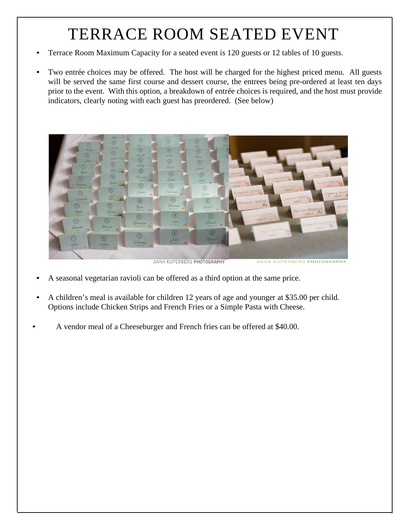# TERRACE ROOM SEATED EVENT

- Terrace Room Maximum Capacity for a seated event is 120 guests or 12 tables of 10 guests.
- Two entrée choices may be offered. The host will be charged for the highest priced menu. All guests will be served the same first course and dessert course, the entrees being pre-ordered at least ten days prior to the event. With this option, a breakdown of entrée choices is required, and the host must provide indicators, clearly noting with each guest has preordered. (See below)



ANNA KUPERBERG PHOTOGRAPHY

ANNA KUPERBERG PHOTOGRAPHY

- A seasonal vegetarian ravioli can be offered as a third option at the same price.
- A children's meal is available for children 12 years of age and younger at \$35.00 per child. Options include Chicken Strips and French Fries or a Simple Pasta with Cheese.
- A vendor meal of a Cheeseburger and French fries can be offered at \$40.00.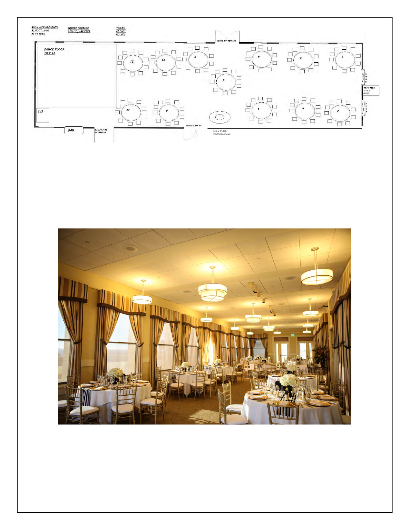

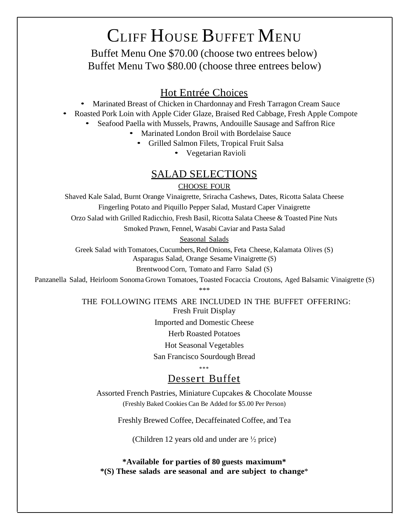# CLIFF HOUSE BUFFET MENU

Buffet Menu One \$70.00 (choose two entrees below) Buffet Menu Two \$80.00 (choose three entrees below)

- **Hot Entrée Choices**<br>Marinated Breast of Chicken in Chardonnay and Fresh Tarragon Cream Sauce
- Roasted Pork Loin with Apple Cider Glaze, Braised Red Cabbage, Fresh Apple Compote
	- Seafood Paella with Mussels, Prawns, Andouille Sausage and Saffron Rice
		- Marinated London Broil with Bordelaise Sauce
			- Grilled Salmon Filets, Tropical Fruit Salsa
				- Vegetarian Ravioli

#### SALAD SELECTIONS

#### CHOOSE FOUR

Shaved Kale Salad, Burnt Orange Vinaigrette, Sriracha Cashews, Dates, Ricotta Salata Cheese Fingerling Potato and Piquillo Pepper Salad, Mustard Caper Vinaigrette

Orzo Salad with Grilled Radicchio, Fresh Basil, Ricotta Salata Cheese & Toasted Pine Nuts

Smoked Prawn, Fennel, Wasabi Caviar and Pasta Salad

Seasonal Salads

Greek Salad with Tomatoes, Cucumbers, Red Onions, Feta Cheese, Kalamata Olives (S) Asparagus Salad, Orange Sesame Vinaigrette (S)

Brentwood Corn, Tomato and Farro Salad (S)

Panzanella Salad, Heirloom Sonoma Grown Tomatoes, Toasted Focaccia Croutons, Aged Balsamic Vinaigrette (S) \*\*\*

> THE FOLLOWING ITEMS ARE INCLUDED IN THE BUFFET OFFERING: Fresh Fruit Display

> > Imported and Domestic Cheese

Herb Roasted Potatoes

Hot Seasonal Vegetables

San Francisco Sourdough Bread

\*\*\*

#### Dessert Buffet

Assorted French Pastries, Miniature Cupcakes & Chocolate Mousse (Freshly Baked Cookies Can Be Added for \$5.00 Per Person)

Freshly Brewed Coffee, Decaffeinated Coffee, and Tea

(Children 12 years old and under are ½ price)

**\*Available for parties of 80 guests maximum\* \*(S) These salads are seasonal and are subject to change**\*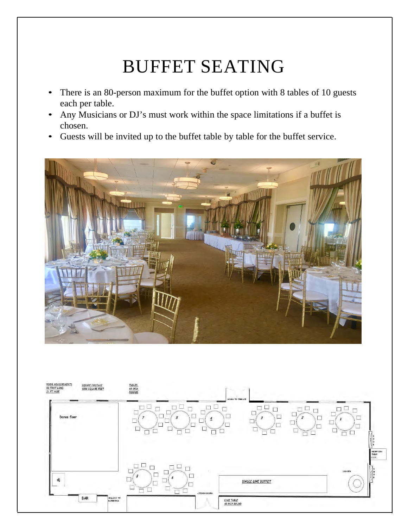# BUFFET SEATING

- There is an 80-person maximum for the buffet option with 8 tables of 10 guests each per table.
- Any Musicians or DJ's must work within the space limitations if a buffet is chosen.
- Guests will be invited up to the buffet table by table for the buffet service.



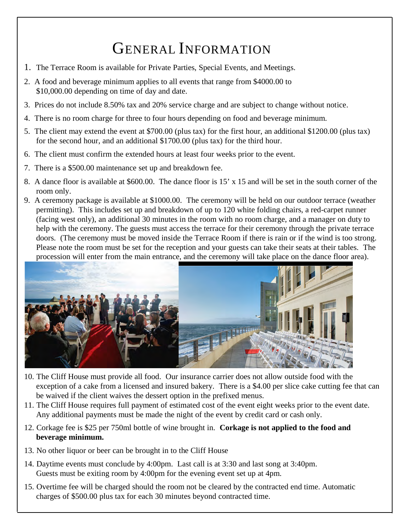# GENERAL INFORMATION

- 1. The Terrace Room is available for Private Parties, Special Events, and Meetings.
- 2. A food and beverage minimum applies to all events that range from \$4000.00 to \$10,000.00 depending on time of day and date.
- 3. Prices do not include 8.50% tax and 20% service charge and are subject to change without notice.
- 4. There is no room charge for three to four hours depending on food and beverage minimum.
- 5. The client may extend the event at \$700.00 (plus tax) for the first hour, an additional \$1200.00 (plus tax) for the second hour, and an additional \$1700.00 (plus tax) for the third hour.
- 6. The client must confirm the extended hours at least four weeks prior to the event.
- 7. There is a \$500.00 maintenance set up and breakdown fee.
- 8. A dance floor is available at \$600.00. The dance floor is 15' x 15 and will be set in the south corner of the room only.
- 9. A ceremony package is available at \$1000.00. The ceremony will be held on our outdoor terrace (weather permitting). This includes set up and breakdown of up to 120 white folding chairs, a red-carpet runner (facing west only), an additional 30 minutes in the room with no room charge, and a manager on duty to help with the ceremony. The guests must access the terrace for their ceremony through the private terrace doors. (The ceremony must be moved inside the Terrace Room if there is rain or if the wind is too strong. Please note the room must be set for the reception and your guests can take their seats at their tables. The procession will enter from the main entrance, and the ceremony will take place on the dance floor area).



- 10. The Cliff House must provide all food. Our insurance carrier does not allow outside food with the exception of a cake from a licensed and insured bakery. There is a \$4.00 per slice cake cutting fee that can be waived if the client waives the dessert option in the prefixed menus.
- 11. The Cliff House requires full payment of estimated cost of the event eight weeks prior to the event date. Any additional payments must be made the night of the event by credit card or cash only.
- 12. Corkage fee is \$25 per 750ml bottle of wine brought in. **Corkage is not applied to the food and beverage minimum.**
- 13. No other liquor or beer can be brought in to the Cliff House
- 14. Daytime events must conclude by 4:00pm. Last call is at 3:30 and last song at 3:40pm. Guests must be exiting room by 4:00pm for the evening event set up at 4pm.
- 15. Overtime fee will be charged should the room not be cleared by the contracted end time. Automatic charges of \$500.00 plus tax for each 30 minutes beyond contracted time.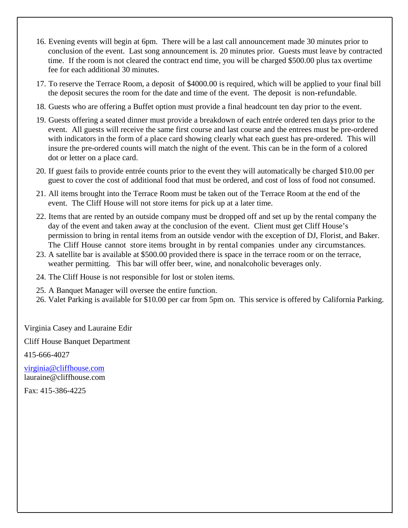- 16. Evening events will begin at 6pm. There will be a last call announcement made 30 minutes prior to conclusion of the event. Last song announcement is. 20 minutes prior. Guests must leave by contracted time. If the room is not cleared the contract end time, you will be charged \$500.00 plus tax overtime fee for each additional 30 minutes.
- 17. To reserve the Terrace Room, a deposit of \$4000.00 is required, which will be applied to your final bill the deposit secures the room for the date and time of the event. The deposit is non-refundable.
- 18. Guests who are offering a Buffet option must provide a final headcount ten day prior to the event.
- 19. Guests offering a seated dinner must provide a breakdown of each entrée ordered ten days prior to the event. All guests will receive the same first course and last course and the entrees must be pre-ordered with indicators in the form of a place card showing clearly what each guest has pre-ordered. This will insure the pre-ordered counts will match the night of the event. This can be in the form of a colored dot or letter on a place card.
- 20. If guest fails to provide entrée counts prior to the event they will automatically be charged \$10.00 per guest to cover the cost of additional food that must be ordered, and cost of loss of food not consumed.
- 21. All items brought into the Terrace Room must be taken out of the Terrace Room at the end of the event. The Cliff House will not store items for pick up at a later time.
- 22. Items that are rented by an outside company must be dropped off and set up by the rental company the day of the event and taken away at the conclusion of the event. Client must get Cliff House's permission to bring in rental items from an outside vendor with the exception of DJ, Florist, and Baker. The Cliff House cannot store items brought in by rental companies under any circumstances.
- 23. A satellite bar is available at \$500.00 provided there is space in the terrace room or on the terrace, weather permitting. This bar will offer beer, wine, and nonalcoholic beverages only.
- 24. The Cliff House is not responsible for lost or stolen items.

25. A Banquet Manager will oversee the entire function.

26. Valet Parking is available for \$10.00 per car from 5pm on. This service is offered by California Parking.

Virginia Casey and Lauraine Edir

Cliff House Banquet Department

415-666-4027

virginia@cliffhouse.com lauraine@cliffhouse.com

Fax: 415-386-4225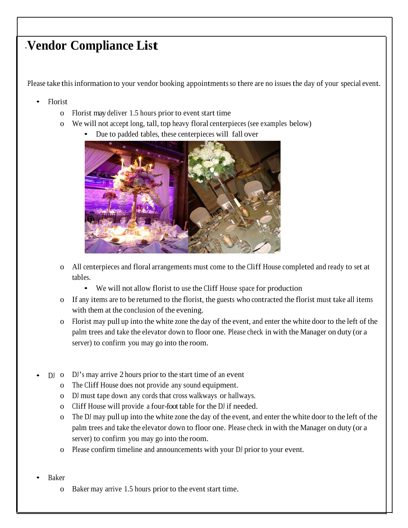### -**Vendor Compliance List**

Please take this information to your vendor booking appointments so there are no issues the day of your special event.

- Florist
	- o Florist may deliver 1.5 hours prior to event start time
	- o We will not accept long, tall, top heavy floral centerpieces (see examples below)
		- Due to padded tables, these centerpieces will fall over



- o All centerpieces and floral arrangements must come to the Cliff House completed and ready to set at tables.
	- We will not allow florist to use the Cliff House space for production
- o If any items are to be returned to the florist, the guests who contracted the florist must take all items with them at the conclusion of the evening.
- o Florist may pull up into the white zone the day of the event, and enter the white door to the left of the palm trees and take the elevator down to floor one. Please check in with the Manager on duty (or a server) to confirm you may go into the room.
- DJ o DJ's may arrive 2 hours prior to the start time of an event
	- o The Cliff House does not provide any sound equipment.
	- o DJ must tape down any cords that cross walkways or hallways.
	- o Cliff House will provide a four-foot table for the DJ if needed.
	- o The DJ may pull up into the white zone the day of the event, and enter the white door to the left of the palm trees and take the elevator down to floor one. Please check in with the Manager on duty (or a server) to confirm you may go into the room.
	- o Please confirm timeline and announcements with your DJ prior to your event.
- Baker
	- o Baker may arrive 1.5 hours prior to the event start time.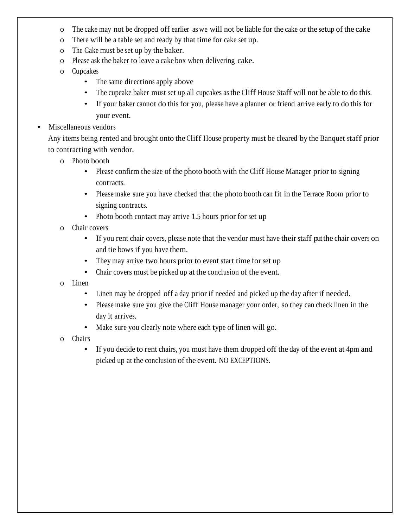- o The cake may not be dropped off earlier as we will not be liable for the cake or the setup of the cake
- o There will be a table set and ready by that time for cake set up.
- o The Cake must be set up by the baker.
- o Please ask the baker to leave a cake box when delivering cake.
- o Cupcakes
	- The same directions apply above
	- The cupcake baker must set up all cupcakes as the Cliff House Staff will not be able to do this.
	- If your baker cannot do this for you, please have a planner or friend arrive early to do this for your event.
- Miscellaneous vendors

Any items being rented and brought onto the Cliff House property must be cleared by the Banquet staff prior to contracting with vendor.

- o Photo booth
	- Please confirm the size of the photo booth with the Cliff House Manager prior to signing contracts.
	- Please make sure you have checked that the photo booth can fit in the Terrace Room prior to signing contracts.
	- Photo booth contact may arrive 1.5 hours prior for set up
- o Chair covers
	- If you rent chair covers, please note that the vendor must have their staff put the chair covers on and tie bows if you have them.
	- They may arrive two hours prior to event start time for set up
	- Chair covers must be picked up at the conclusion of the event.
- o Linen
	- Linen may be dropped off a day prior if needed and picked up the day after if needed.
	- Please make sure you give the Cliff House manager your order, so they can check linen in the day it arrives.
	- Make sure you clearly note where each type of linen will go.
- o Chairs
	- If you decide to rent chairs, you must have them dropped off the day of the event at 4pm and picked up at the conclusion of the event. NO EXCEPTIONS.